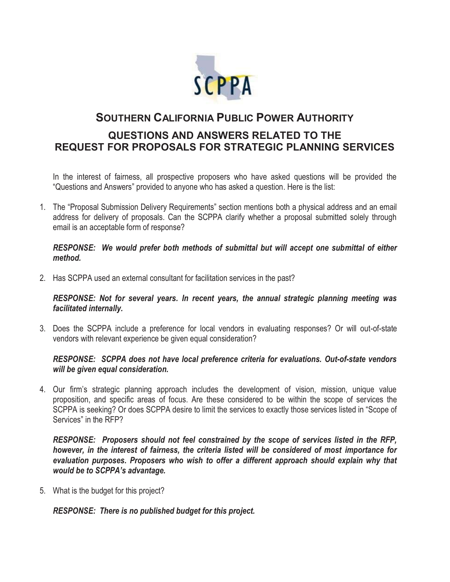

# **SOUTHERN CALIFORNIA PUBLIC POWER AUTHORITY QUESTIONS AND ANSWERS RELATED TO THE REQUEST FOR PROPOSALS FOR STRATEGIC PLANNING SERVICES**

In the interest of fairness, all prospective proposers who have asked questions will be provided the "Questions and Answers" provided to anyone who has asked a question. Here is the list:

1. The "Proposal Submission Delivery Requirements" section mentions both a physical address and an email address for delivery of proposals. Can the SCPPA clarify whether a proposal submitted solely through email is an acceptable form of response?

#### *RESPONSE: We would prefer both methods of submittal but will accept one submittal of either method.*

2. Has SCPPA used an external consultant for facilitation services in the past?

*RESPONSE: Not for several years. In recent years, the annual strategic planning meeting was facilitated internally.* 

3. Does the SCPPA include a preference for local vendors in evaluating responses? Or will out-of-state vendors with relevant experience be given equal consideration?

## *RESPONSE: SCPPA does not have local preference criteria for evaluations. Out-of-state vendors will be given equal consideration.*

4. Our firm's strategic planning approach includes the development of vision, mission, unique value proposition, and specific areas of focus. Are these considered to be within the scope of services the SCPPA is seeking? Or does SCPPA desire to limit the services to exactly those services listed in "Scope of Services" in the RFP?

*RESPONSE: Proposers should not feel constrained by the scope of services listed in the RFP, however, in the interest of fairness, the criteria listed will be considered of most importance for evaluation purposes. Proposers who wish to offer a different approach should explain why that would be to SCPPA's advantage.* 

5. What is the budget for this project?

*RESPONSE: There is no published budget for this project.*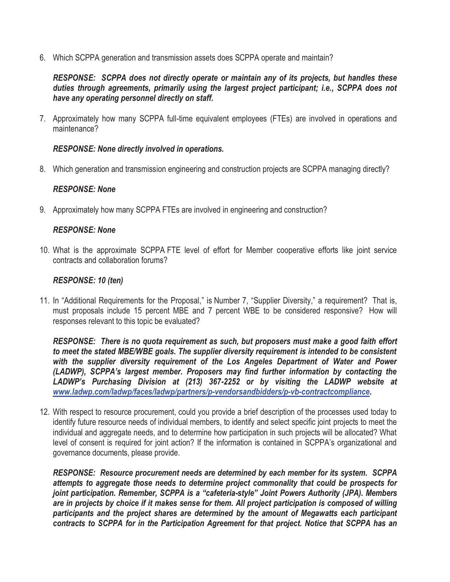6. Which SCPPA generation and transmission assets does SCPPA operate and maintain?

*RESPONSE: SCPPA does not directly operate or maintain any of its projects, but handles these duties through agreements, primarily using the largest project participant; i.e., SCPPA does not have any operating personnel directly on staff.*

7. Approximately how many SCPPA full-time equivalent employees (FTEs) are involved in operations and maintenance?

## *RESPONSE: None directly involved in operations.*

8. Which generation and transmission engineering and construction projects are SCPPA managing directly?

## *RESPONSE: None*

9. Approximately how many SCPPA FTEs are involved in engineering and construction?

## *RESPONSE: None*

10. What is the approximate SCPPA FTE level of effort for Member cooperative efforts like joint service contracts and collaboration forums?

## *RESPONSE: 10 (ten)*

11. In "Additional Requirements for the Proposal," is Number 7, "Supplier Diversity," a requirement? That is, must proposals include 15 percent MBE and 7 percent WBE to be considered responsive? How will responses relevant to this topic be evaluated?

*RESPONSE: There is no quota requirement as such, but proposers must make a good faith effort to meet the stated MBE/WBE goals. The supplier diversity requirement is intended to be consistent with the supplier diversity requirement of the Los Angeles Department of Water and Power (LADWP), SCPPA's largest member. Proposers may find further information by contacting the LADWP's Purchasing Division at (213) 367-2252 or by visiting the LADWP website at www.ladwp.com/ladwp/faces/ladwp/partners/p-vendorsandbidders/p-vb-contractcompliance.* 

12. With respect to resource procurement, could you provide a brief description of the processes used today to identify future resource needs of individual members, to identify and select specific joint projects to meet the individual and aggregate needs, and to determine how participation in such projects will be allocated? What level of consent is required for joint action? If the information is contained in SCPPA's organizational and governance documents, please provide.

*RESPONSE: Resource procurement needs are determined by each member for its system. SCPPA attempts to aggregate those needs to determine project commonality that could be prospects for joint participation. Remember, SCPPA is a "cafeteria-style" Joint Powers Authority (JPA). Members are in projects by choice if it makes sense for them. All project participation is composed of willing participants and the project shares are determined by the amount of Megawatts each participant contracts to SCPPA for in the Participation Agreement for that project. Notice that SCPPA has an*